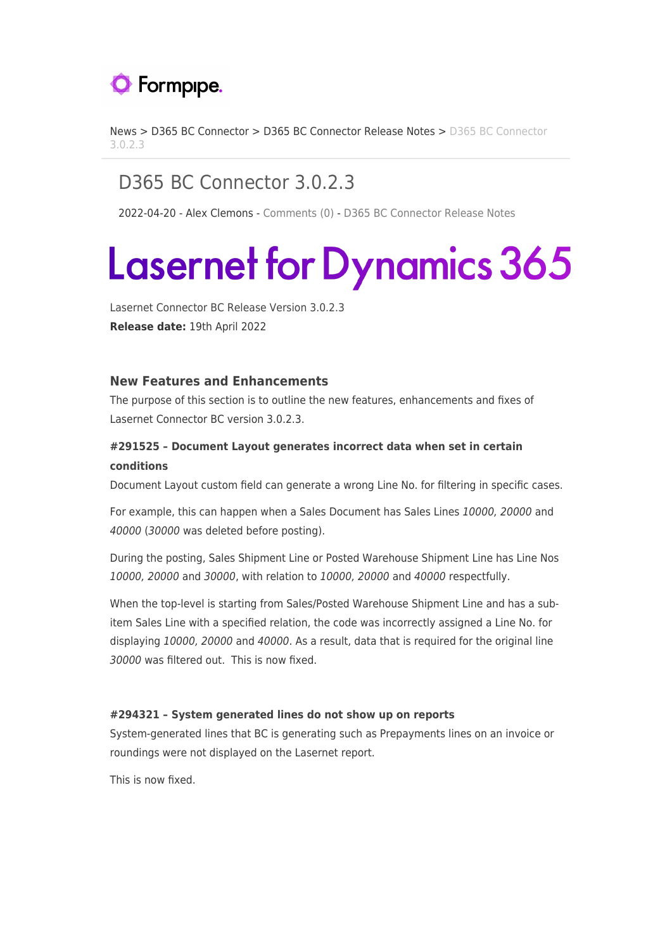

[News](https://support.formpipe.com/news) > [D365 BC Connector](https://support.formpipe.com/news/d365-bc-connector) > [D365 BC Connector Release Notes](https://support.formpipe.com/news/d365-bc-connector-release-notes) > [D365 BC Connector](https://support.formpipe.com/news/posts/d365-bc-connector-3-0-2-3) [3.0.2.3](https://support.formpipe.com/news/posts/d365-bc-connector-3-0-2-3)

# D365 BC Connector 3.0.2.3

2022-04-20 - Alex Clemons - [Comments \(0\)](#page--1-0) - [D365 BC Connector Release Notes](https://support.formpipe.com/news/d365-bc-connector-release-notes)

# **Lasernet for Dynamics 365**

Lasernet Connector BC Release Version 3.0.2.3 **Release date:** 19th April 2022

#### **New Features and Enhancements**

The purpose of this section is to outline the new features, enhancements and fixes of Lasernet Connector BC version 3.0.2.3.

## **#291525 – Document Layout generates incorrect data when set in certain conditions**

Document Layout custom field can generate a wrong Line No. for filtering in specific cases.

For example, this can happen when a Sales Document has Sales Lines 10000, 20000 and 40000 (30000 was deleted before posting).

During the posting, Sales Shipment Line or Posted Warehouse Shipment Line has Line Nos 10000, 20000 and 30000, with relation to 10000, 20000 and 40000 respectfully.

When the top-level is starting from Sales/Posted Warehouse Shipment Line and has a subitem Sales Line with a specified relation, the code was incorrectly assigned a Line No. for displaying 10000, 20000 and 40000. As a result, data that is required for the original line 30000 was filtered out. This is now fixed.

#### **#294321 – System generated lines do not show up on reports**

System-generated lines that BC is generating such as Prepayments lines on an invoice or roundings were not displayed on the Lasernet report.

This is now fixed.